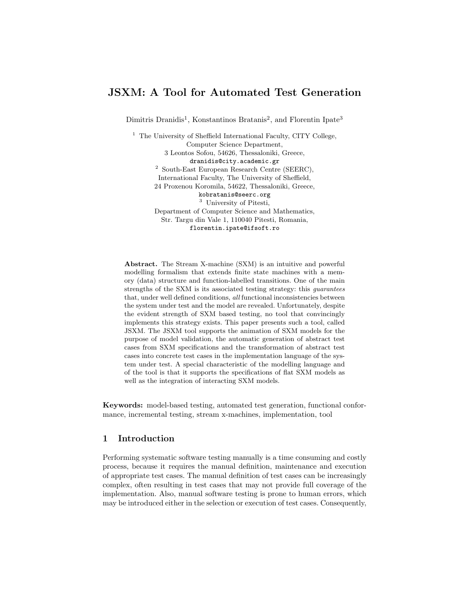# JSXM: A Tool for Automated Test Generation

Dimitris Dranidis<sup>1</sup>, Konstantinos Bratanis<sup>2</sup>, and Florentin Ipate<sup>3</sup>

 $1$  The University of Sheffield International Faculty, CITY College, Computer Science Department, 3 Leontos Sofou, 54626, Thessaloniki, Greece, dranidis@city.academic.gr <sup>2</sup> South-East European Research Centre (SEERC), International Faculty, The University of Sheffield, 24 Proxenou Koromila, 54622, Thessaloniki, Greece, kobratanis@seerc.org <sup>3</sup> University of Pitesti, Department of Computer Science and Mathematics, Str. Targu din Vale 1, 110040 Pitesti, Romania, florentin.ipate@ifsoft.ro

Abstract. The Stream X-machine (SXM) is an intuitive and powerful modelling formalism that extends finite state machines with a memory (data) structure and function-labelled transitions. One of the main strengths of the SXM is its associated testing strategy: this guarantees that, under well defined conditions, all functional inconsistencies between the system under test and the model are revealed. Unfortunately, despite the evident strength of SXM based testing, no tool that convincingly implements this strategy exists. This paper presents such a tool, called JSXM. The JSXM tool supports the animation of SXM models for the purpose of model validation, the automatic generation of abstract test cases from SXM specifications and the transformation of abstract test cases into concrete test cases in the implementation language of the system under test. A special characteristic of the modelling language and of the tool is that it supports the specifications of flat SXM models as well as the integration of interacting SXM models.

Keywords: model-based testing, automated test generation, functional conformance, incremental testing, stream x-machines, implementation, tool

# 1 Introduction

Performing systematic software testing manually is a time consuming and costly process, because it requires the manual definition, maintenance and execution of appropriate test cases. The manual definition of test cases can be increasingly complex, often resulting in test cases that may not provide full coverage of the implementation. Also, manual software testing is prone to human errors, which may be introduced either in the selection or execution of test cases. Consequently,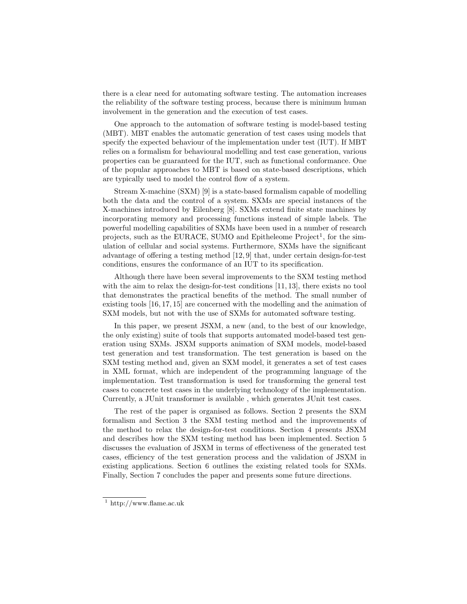there is a clear need for automating software testing. The automation increases the reliability of the software testing process, because there is minimum human involvement in the generation and the execution of test cases.

One approach to the automation of software testing is model-based testing (MBT). MBT enables the automatic generation of test cases using models that specify the expected behaviour of the implementation under test (IUT). If MBT relies on a formalism for behavioural modelling and test case generation, various properties can be guaranteed for the IUT, such as functional conformance. One of the popular approaches to MBT is based on state-based descriptions, which are typically used to model the control flow of a system.

Stream X-machine (SXM) [9] is a state-based formalism capable of modelling both the data and the control of a system. SXMs are special instances of the X-machines introduced by Eilenberg [8]. SXMs extend finite state machines by incorporating memory and processing functions instead of simple labels. The powerful modelling capabilities of SXMs have been used in a number of research projects, such as the EURACE, SUMO and Epitheleome  $Project<sup>1</sup>$ , for the simulation of cellular and social systems. Furthermore, SXMs have the significant advantage of offering a testing method [12, 9] that, under certain design-for-test conditions, ensures the conformance of an IUT to its specification.

Although there have been several improvements to the SXM testing method with the aim to relax the design-for-test conditions [11, 13], there exists no tool that demonstrates the practical benefits of the method. The small number of existing tools [16, 17, 15] are concerned with the modelling and the animation of SXM models, but not with the use of SXMs for automated software testing.

In this paper, we present JSXM, a new (and, to the best of our knowledge, the only existing) suite of tools that supports automated model-based test generation using SXMs. JSXM supports animation of SXM models, model-based test generation and test transformation. The test generation is based on the SXM testing method and, given an SXM model, it generates a set of test cases in XML format, which are independent of the programming language of the implementation. Test transformation is used for transforming the general test cases to concrete test cases in the underlying technology of the implementation. Currently, a JUnit transformer is available , which generates JUnit test cases.

The rest of the paper is organised as follows. Section 2 presents the SXM formalism and Section 3 the SXM testing method and the improvements of the method to relax the design-for-test conditions. Section 4 presents JSXM and describes how the SXM testing method has been implemented. Section 5 discusses the evaluation of JSXM in terms of effectiveness of the generated test cases, efficiency of the test generation process and the validation of JSXM in existing applications. Section 6 outlines the existing related tools for SXMs. Finally, Section 7 concludes the paper and presents some future directions.

<sup>&</sup>lt;sup>1</sup> http://www.flame.ac.uk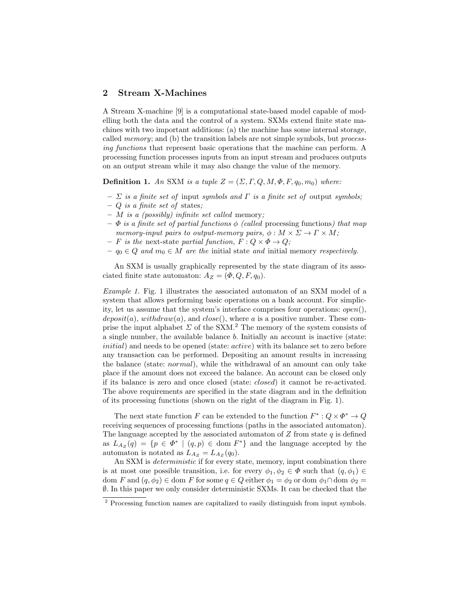# 2 Stream X-Machines

A Stream X-machine [9] is a computational state-based model capable of modelling both the data and the control of a system. SXMs extend finite state machines with two important additions: (a) the machine has some internal storage, called memory; and (b) the transition labels are not simple symbols, but processing functions that represent basic operations that the machine can perform. A processing function processes inputs from an input stream and produces outputs on an output stream while it may also change the value of the memory.

**Definition 1.** An SXM is a tuple  $Z = (\Sigma, \Gamma, Q, M, \Phi, F, q_0, m_0)$  where:

- $\Sigma$  is a finite set of input symbols and  $\Gamma$  is a finite set of output symbols;
- $Q$  is a finite set of states;
- $M$  is a (possibly) infinite set called memory;
- $-$  Φ is a finite set of partial functions  $\phi$  (called processing functions) that map memory-input pairs to output-memory pairs,  $\phi : M \times \Sigma \to \Gamma \times M$ ;
- F is the next-state partial function,  $F: Q \times \Phi \to Q$ ;
- $q_0 \in Q$  and  $m_0 \in M$  are the initial state and initial memory respectively.

An SXM is usually graphically represented by the state diagram of its associated finite state automaton:  $A_Z = (\Phi, Q, F, q_0)$ .

Example 1. Fig. 1 illustrates the associated automaton of an SXM model of a system that allows performing basic operations on a bank account. For simplicity, let us assume that the system's interface comprises four operations: open(),  $deposit(a), with draw(a), and close(), where a is a positive number. These com$ prise the input alphabet  $\Sigma$  of the SXM.<sup>2</sup> The memory of the system consists of a single number, the available balance b. Initially an account is inactive (state: initial) and needs to be opened (state: *active*) with its balance set to zero before any transaction can be performed. Depositing an amount results in increasing the balance (state: normal), while the withdrawal of an amount can only take place if the amount does not exceed the balance. An account can be closed only if its balance is zero and once closed (state: closed) it cannot be re-activated. The above requirements are specified in the state diagram and in the definition of its processing functions (shown on the right of the diagram in Fig. 1).

The next state function F can be extended to the function  $F^* : Q \times \Phi^* \to Q$ receiving sequences of processing functions (paths in the associated automaton). The language accepted by the associated automaton of  $Z$  from state  $q$  is defined as  $L_{A_Z}(q) = \{p \in \Phi^* \mid (q,p) \in \text{dom } F^*\}\$ and the language accepted by the automaton is notated as  $L_{A_Z} = L_{A_Z}(q_0)$ .

An SXM is deterministic if for every state, memory, input combination there is at most one possible transition, i.e. for every  $\phi_1, \phi_2 \in \Phi$  such that  $(q, \phi_1) \in$ dom F and  $(q, \phi_2) \in$  dom F for some  $q \in Q$  either  $\phi_1 = \phi_2$  or dom  $\phi_1 \cap$  dom  $\phi_2 =$ ∅. In this paper we only consider deterministic SXMs. It can be checked that the

<sup>2</sup> Processing function names are capitalized to easily distinguish from input symbols.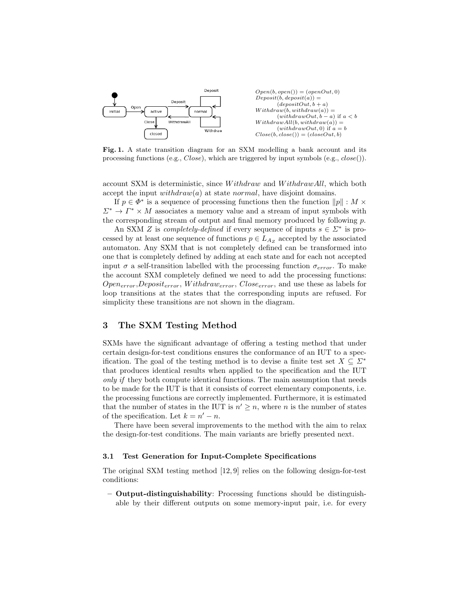

Fig. 1. A state transition diagram for an SXM modelling a bank account and its processing functions (e.g.,  $Close)$ , which are triggered by input symbols (e.g.,  $close()$ ).

account SXM is deterministic, since Withdraw and WithdrawAll, which both accept the input  $with draw(a)$  at state normal, have disjoint domains.

If  $p \in \Phi^*$  is a sequence of processing functions then the function  $||p|| : M \times$  $\Sigma^* \to \Gamma^* \times M$  associates a memory value and a stream of input symbols with the corresponding stream of output and final memory produced by following p.

An SXM Z is *completely-defined* if every sequence of inputs  $s \in \Sigma^*$  is processed by at least one sequence of functions  $p \in L_{A_Z}$  accepted by the associated automaton. Any SXM that is not completely defined can be transformed into one that is completely defined by adding at each state and for each not accepted input  $\sigma$  a self-transition labelled with the processing function  $\sigma_{error}$ . To make the account SXM completely defined we need to add the processing functions:  $Open_{error}$ ,  $Deposit_{error}$ ,  $Without_{error}$ ,  $Close_{error}$ , and use these as labels for loop transitions at the states that the corresponding inputs are refused. For simplicity these transitions are not shown in the diagram.

# 3 The SXM Testing Method

SXMs have the significant advantage of offering a testing method that under certain design-for-test conditions ensures the conformance of an IUT to a specification. The goal of the testing method is to devise a finite test set  $X \subseteq \Sigma^*$ that produces identical results when applied to the specification and the IUT only if they both compute identical functions. The main assumption that needs to be made for the IUT is that it consists of correct elementary components, i.e. the processing functions are correctly implemented. Furthermore, it is estimated that the number of states in the IUT is  $n' \geq n$ , where n is the number of states of the specification. Let  $k = n' - n$ .

There have been several improvements to the method with the aim to relax the design-for-test conditions. The main variants are briefly presented next.

### 3.1 Test Generation for Input-Complete Specifications

The original SXM testing method [12, 9] relies on the following design-for-test conditions:

– Output-distinguishability: Processing functions should be distinguishable by their different outputs on some memory-input pair, i.e. for every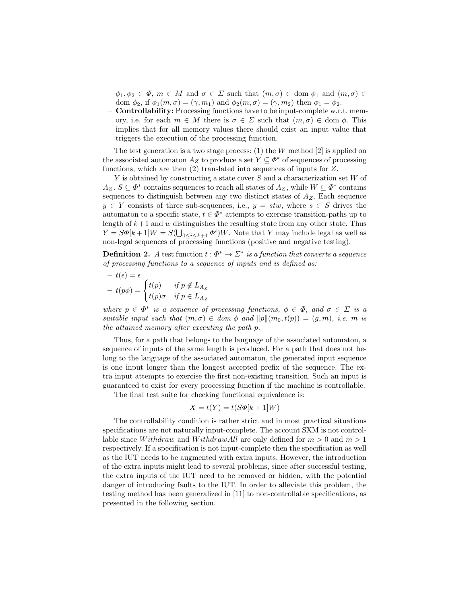$\phi_1, \phi_2 \in \Phi$ ,  $m \in M$  and  $\sigma \in \Sigma$  such that  $(m, \sigma) \in \text{dom } \phi_1$  and  $(m, \sigma) \in$ dom  $\phi_2$ , if  $\phi_1(m, \sigma) = (\gamma, m_1)$  and  $\phi_2(m, \sigma) = (\gamma, m_2)$  then  $\phi_1 = \phi_2$ .

– Controllability: Processing functions have to be input-complete w.r.t. memory, i.e. for each  $m \in M$  there is  $\sigma \in \Sigma$  such that  $(m, \sigma) \in \text{dom } \phi$ . This implies that for all memory values there should exist an input value that triggers the execution of the processing function.

The test generation is a two stage process:  $(1)$  the W method  $[2]$  is applied on the associated automaton  $A_Z$  to produce a set  $Y \subseteq \Phi^*$  of sequences of processing functions, which are then (2) translated into sequences of inputs for Z.

Y is obtained by constructing a state cover S and a characterization set W of  $A_Z$ .  $S \subseteq \Phi^*$  contains sequences to reach all states of  $A_Z$ , while  $W \subseteq \Phi^*$  contains sequences to distinguish between any two distinct states of  $A_Z$ . Each sequence  $y \in Y$  consists of three sub-sequences, i.e.,  $y = stw$ , where  $s \in S$  drives the automaton to a specific state,  $t \in \Phi^*$  attempts to exercise transition-paths up to length of  $k+1$  and w distinguishes the resulting state from any other state. Thus  $Y = S\Phi[k+1]W = S(\bigcup_{0 \le i \le k+1} \Phi^i)W$ . Note that Y may include legal as well as non-legal sequences of processing functions (positive and negative testing).

**Definition 2.** A test function  $t : \Phi^* \to \Sigma^*$  is a function that converts a sequence of processing functions to a sequence of inputs and is defined as:

$$
- t(\epsilon) = \epsilon
$$
  
-  $t(p\phi) = \begin{cases} t(p) & \text{if } p \notin L_{A_Z} \\ t(p)\sigma & \text{if } p \in L_{A_Z} \end{cases}$ 

where  $p \in \Phi^*$  is a sequence of processing functions,  $\phi \in \Phi$ , and  $\sigma \in \Sigma$  is a suitable input such that  $(m, \sigma) \in dom \phi$  and  $||p||(m_0, t(p)) = (g, m)$ , i.e. m is the attained memory after executing the path p.

Thus, for a path that belongs to the language of the associated automaton, a sequence of inputs of the same length is produced. For a path that does not belong to the language of the associated automaton, the generated input sequence is one input longer than the longest accepted prefix of the sequence. The extra input attempts to exercise the first non-existing transition. Such an input is guaranteed to exist for every processing function if the machine is controllable.

The final test suite for checking functional equivalence is:

$$
X = t(Y) = t(S\Phi[k+1]W)
$$

The controllability condition is rather strict and in most practical situations specifications are not naturally input-complete. The account SXM is not controllable since Withdraw and WithdrawAll are only defined for  $m > 0$  and  $m > 1$ respectively. If a specification is not input-complete then the specification as well as the IUT needs to be augmented with extra inputs. However, the introduction of the extra inputs might lead to several problems, since after successful testing, the extra inputs of the IUT need to be removed or hidden, with the potential danger of introducing faults to the IUT. In order to alleviate this problem, the testing method has been generalized in [11] to non-controllable specifications, as presented in the following section.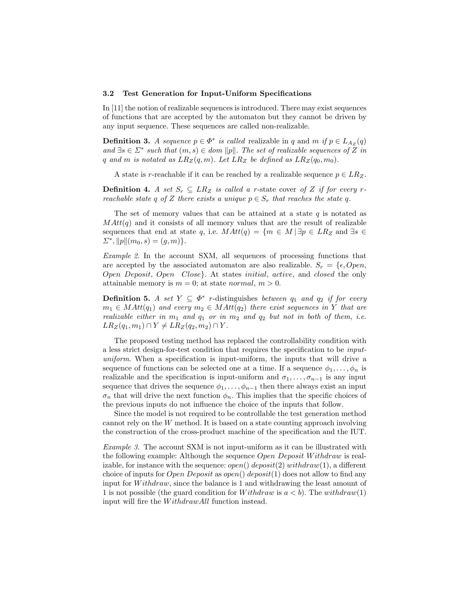### 3.2 Test Generation for Input-Uniform Specifications

In [11] the notion of realizable sequences is introduced. There may exist sequences of functions that are accepted by the automaton but they cannot be driven by any input sequence. These sequences are called non-realizable.

**Definition 3.** A sequence  $p \in \Phi^*$  is called realizable in q and m if  $p \in L_{A_Z}(q)$ and  $\exists s \in \Sigma^*$  such that  $(m, s) \in dom ||p||$ . The set of realizable sequences of Z in q and m is notated as  $LR_Z(q, m)$ . Let  $LR_Z$  be defined as  $LR_Z(q_0, m_0)$ .

A state is r-reachable if it can be reached by a realizable sequence  $p \in LR_Z$ .

**Definition 4.** A set  $S_r \subseteq LR_Z$  is called a r-state cover of Z if for every rreachable state q of Z there exists a unique  $p \in S_r$  that reaches the state q.

The set of memory values that can be attained at a state  $q$  is notated as  $MAtt(q)$  and it consists of all memory values that are the result of realizable sequences that end at state q, i.e.  $MAtt(q) = \{m \in M \mid \exists p \in LR_Z \text{ and } \exists s \in$  $\Sigma^*, \|p\|(m_0, s) = (g, m)\}.$ 

Example 2. In the account SXM, all sequences of processing functions that are accepted by the associated automaton are also realizable.  $S_r = \{ \epsilon, Open,$ Open Deposit, Open Close}. At states initial, active, and closed the only attainable memory is  $m = 0$ ; at state *normal*,  $m > 0$ .

**Definition 5.** A set  $Y \subseteq \Phi^*$  r-distinguishes between  $q_1$  and  $q_2$  if for every  $m_1 \in MAtt(q_1)$  and every  $m_2 \in MAtt(q_2)$  there exist sequences in Y that are realizable either in  $m_1$  and  $q_1$  or in  $m_2$  and  $q_2$  but not in both of them, i.e.  $LR_Z(q_1, m_1) \cap Y \neq LR_Z(q_2, m_2) \cap Y$ .

The proposed testing method has replaced the controllability condition with a less strict design-for-test condition that requires the specification to be inputuniform. When a specification is input-uniform, the inputs that will drive a sequence of functions can be selected one at a time. If a sequence  $\phi_1, \ldots, \phi_n$  is realizable and the specification is input-uniform and  $\sigma_1, \ldots, \sigma_{n-1}$  is any input sequence that drives the sequence  $\phi_1, \ldots, \phi_{n-1}$  then there always exist an input  $\sigma_n$  that will drive the next function  $\phi_n$ . This implies that the specific choices of the previous inputs do not influence the choice of the inputs that follow.

Since the model is not required to be controllable the test generation method cannot rely on the  $W$  method. It is based on a state counting approach involving the construction of the cross-product machine of the specification and the IUT.

Example 3. The account SXM is not input-uniform as it can be illustrated with the following example: Although the sequence  $Open\:Deposit\:Without\:is\:real$ izable, for instance with the sequence:  $open() \text{ deposit}(2) \text{ with } draw(1)$ , a different choice of inputs for *Open Deposit* as  $open()$  *deposit*(1) does not allow to find any input for  $Without$ , since the balance is 1 and withdrawing the least amount of 1 is not possible (the guard condition for *Withdraw* is  $a < b$ ). The *withdraw*(1) input will fire the *WithdrawAll* function instead.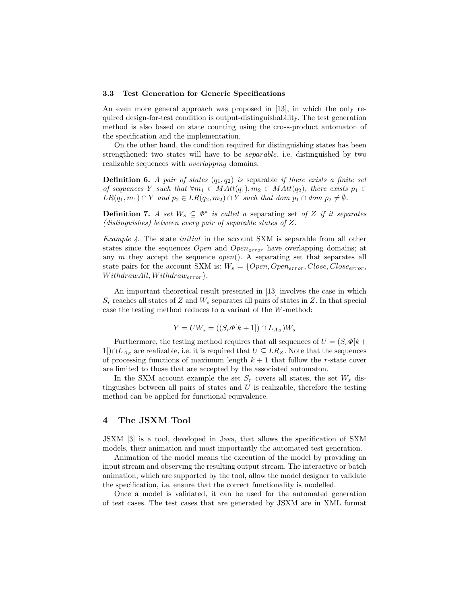### 3.3 Test Generation for Generic Specifications

An even more general approach was proposed in [13], in which the only required design-for-test condition is output-distinguishability. The test generation method is also based on state counting using the cross-product automaton of the specification and the implementation.

On the other hand, the condition required for distinguishing states has been strengthened: two states will have to be separable, i.e. distinguished by two realizable sequences with overlapping domains.

**Definition 6.** A pair of states  $(q_1, q_2)$  is separable if there exists a finite set of sequences Y such that  $\forall m_1 \in MAtt(q_1), m_2 \in MAtt(q_2)$ , there exists  $p_1 \in$  $LR(q_1, m_1) \cap Y$  and  $p_2 \in LR(q_2, m_2) \cap Y$  such that dom  $p_1 \cap dom \ p_2 \neq \emptyset$ .

**Definition 7.** A set  $W_s \subseteq \Phi^*$  is called a separating set of Z if it separates (distinguishes) between every pair of separable states of  $Z$ .

Example 4. The state initial in the account SXM is separable from all other states since the sequences *Open* and *Open<sub>error</sub>* have overlapping domains; at any m they accept the sequence  $open()$ . A separating set that separates all state pairs for the account SXM is:  $W_s = \{Open, Open_{error}, Close, Close_{error},$ WithdrawAll, Withdraw<sub>error</sub>.

An important theoretical result presented in [13] involves the case in which  $S_r$  reaches all states of Z and  $W_s$  separates all pairs of states in Z. In that special case the testing method reduces to a variant of the W-method:

$$
Y = UW_s = ((S_r\Phi[k+1]) \cap L_{A_Z})W_s
$$

Furthermore, the testing method requires that all sequences of  $U = (S_x \Phi)k +$ 1])∩ $L_{A_Z}$  are realizable, i.e. it is required that  $U \subseteq LR_Z$ . Note that the sequences of processing functions of maximum length  $k + 1$  that follow the r-state cover are limited to those that are accepted by the associated automaton.

In the SXM account example the set  $S_r$  covers all states, the set  $W_s$  distinguishes between all pairs of states and  $U$  is realizable, therefore the testing method can be applied for functional equivalence.

# 4 The JSXM Tool

JSXM [3] is a tool, developed in Java, that allows the specification of SXM models, their animation and most importantly the automated test generation.

Animation of the model means the execution of the model by providing an input stream and observing the resulting output stream. The interactive or batch animation, which are supported by the tool, allow the model designer to validate the specification, i.e. ensure that the correct functionality is modelled.

Once a model is validated, it can be used for the automated generation of test cases. The test cases that are generated by JSXM are in XML format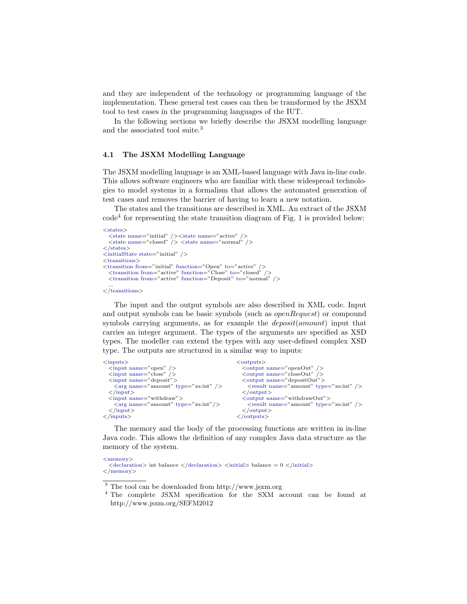and they are independent of the technology or programming language of the implementation. These general test cases can then be transformed by the JSXM tool to test cases in the programming languages of the IUT.

In the following sections we briefly describe the JSXM modelling language and the associated tool suite.<sup>3</sup>

# 4.1 The JSXM Modelling Language

The JSXM modelling language is an XML-based language with Java in-line code. This allows software engineers who are familiar with these widespread technologies to model systems in a formalism that allows the automated generation of test cases and removes the barrier of having to learn a new notation.

The states and the transitions are described in XML. An extract of the JSXM code<sup>4</sup> for representing the state transition diagram of Fig. 1 is provided below:

```
<states><state name="initial" /> <state name="active" /><br>
<state name="closed" /> <state name="normal" />
\langle/states\rangle<initialState state="initial" />
<transitions>
\langle transition from="initial" function="Open" to="active" />
   <transition from="active" function="Close" to="closed" />
<transition from="active" function="Deposit" to="normal" />
...<br>
</transitions>
```
The input and the output symbols are also described in XML code. Input and output symbols can be basic symbols (such as openRequest) or compound symbols carrying arguments, as for example the *deposit*(*amount*) input that carries an integer argument. The types of the arguments are specified as XSD types. The modeller can extend the types with any user-defined complex XSD type. The outputs are structured in a similar way to inputs:

```
<inputs>
  \langleinput name="open" /\langleinput name="close" />
  \langleinput name="deposit">
     \langle \text{arg name} = \text{"amount"} type="xs:int" \langle \rangle</input>
  \langleinput name="withdraw">\langle \text{arg name} = \text{"amount"} type="xs:int" \langle \rangle\langle/input\rangle\langle/inputs>
                                                              <outputs>
                                                                 <output name="openOut" />
<output name="closeOut" />
                                                                <output name="depositOut">
                                                                   <result name="amount" type="xs:int" />
                                                                \langle/output\rangle<output name="withdrawOut">
                                                                   <result name="amount" type="xs:int" />
                                                                 \langle/output\rangle\langle/outputs>
```
The memory and the body of the processing functions are written in in-line Java code. This allows the definition of any complex Java data structure as the memory of the system.

```
\langlememory\rangle\langle declaration> int balance \langle/declaration> \langleinitial> balance = 0 \langle/initial>\langle/memory\rangle
```
<sup>3</sup> The tool can be downloaded from http://www.jsxm.org

<sup>4</sup> The complete JSXM specification for the SXM account can be found at http://www.jsxm.org/SEFM2012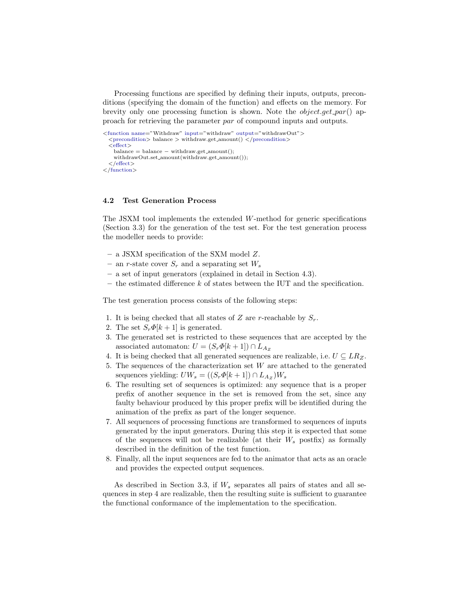Processing functions are specified by defining their inputs, outputs, preconditions (specifying the domain of the function) and effects on the memory. For brevity only one processing function is shown. Note the *object.get.par*() approach for retrieving the parameter par of compound inputs and outputs.

```
\langle function name="Withdraw" input="withdraw" output="withdrawOut">
  \langle precondition > balance > withdraw.get_amount() \langle /precondition >
  \epsiloneffect>balance = balance - withdraw.get_amount();
    withdrawOut.set amount(withdraw.get amount());
  </effect>
</function>
```
# 4.2 Test Generation Process

The JSXM tool implements the extended W-method for generic specifications (Section 3.3) for the generation of the test set. For the test generation process the modeller needs to provide:

- a JSXM specification of the SXM model Z.
- an r-state cover  $S_r$  and a separating set  $W_s$
- a set of input generators (explained in detail in Section 4.3).
- the estimated difference  $k$  of states between the IUT and the specification.

The test generation process consists of the following steps:

- 1. It is being checked that all states of Z are r-reachable by  $S_r$ .
- 2. The set  $S_r \Phi[k+1]$  is generated.
- 3. The generated set is restricted to these sequences that are accepted by the associated automaton:  $U = (S_r \Phi[k+1]) \cap L_{A_z}$
- 4. It is being checked that all generated sequences are realizable, i.e.  $U \subseteq LR_Z$ .
- 5. The sequences of the characterization set  $W$  are attached to the generated sequences yielding:  $U W_s = ((S_r \Phi[k+1]) \cap L_{A_Z}) W_s$
- 6. The resulting set of sequences is optimized: any sequence that is a proper prefix of another sequence in the set is removed from the set, since any faulty behaviour produced by this proper prefix will be identified during the animation of the prefix as part of the longer sequence.
- 7. All sequences of processing functions are transformed to sequences of inputs generated by the input generators. During this step it is expected that some of the sequences will not be realizable (at their  $W_s$  postfix) as formally described in the definition of the test function.
- 8. Finally, all the input sequences are fed to the animator that acts as an oracle and provides the expected output sequences.

As described in Section 3.3, if  $W_s$  separates all pairs of states and all sequences in step 4 are realizable, then the resulting suite is sufficient to guarantee the functional conformance of the implementation to the specification.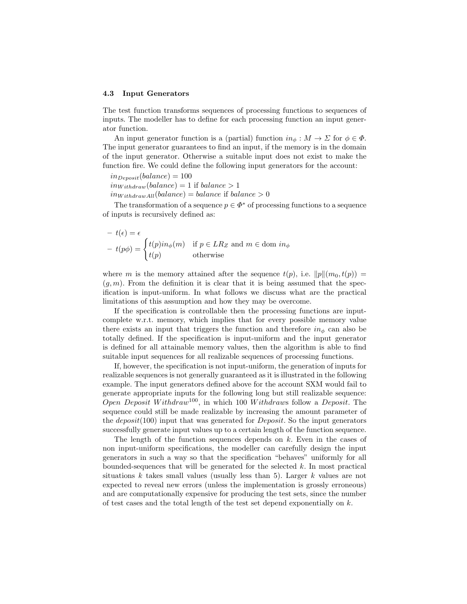#### 4.3 Input Generators

The test function transforms sequences of processing functions to sequences of inputs. The modeller has to define for each processing function an input generator function.

An input generator function is a (partial) function  $in_{\phi}: M \to \Sigma$  for  $\phi \in \Phi$ . The input generator guarantees to find an input, if the memory is in the domain of the input generator. Otherwise a suitable input does not exist to make the function fire. We could define the following input generators for the account:

 $in_{Deposit}(balance) = 100$ 

 $in_{Without} (balance) = 1$  if  $balance > 1$ 

 $in_{WithoutAll}(balance) = balance$  if balance > 0

The transformation of a sequence  $p \in \Phi^*$  of processing functions to a sequence of inputs is recursively defined as:

$$
- t(\epsilon) = \epsilon
$$
  
-  $t(p\phi) = \begin{cases} t(p)in_{\phi}(m) & \text{if } p \in LR_Z \text{ and } m \in \text{dom } in_{\phi} \\ t(p) & \text{otherwise} \end{cases}$ 

where m is the memory attained after the sequence  $t(p)$ , i.e.  $||p||(m_0, t(p)) =$  $(g, m)$ . From the definition it is clear that it is being assumed that the specification is input-uniform. In what follows we discuss what are the practical limitations of this assumption and how they may be overcome.

If the specification is controllable then the processing functions are inputcomplete w.r.t. memory, which implies that for every possible memory value there exists an input that triggers the function and therefore  $in_{\phi}$  can also be totally defined. If the specification is input-uniform and the input generator is defined for all attainable memory values, then the algorithm is able to find suitable input sequences for all realizable sequences of processing functions.

If, however, the specification is not input-uniform, the generation of inputs for realizable sequences is not generally guaranteed as it is illustrated in the following example. The input generators defined above for the account SXM would fail to generate appropriate inputs for the following long but still realizable sequence: Open Deposit Withdraw<sup>100</sup>, in which 100 Withdraws follow a Deposit. The sequence could still be made realizable by increasing the amount parameter of the *deposit*(100) input that was generated for *Deposit*. So the input generators successfully generate input values up to a certain length of the function sequence.

The length of the function sequences depends on  $k$ . Even in the cases of non input-uniform specifications, the modeller can carefully design the input generators in such a way so that the specification "behaves" uniformly for all bounded-sequences that will be generated for the selected  $k$ . In most practical situations  $k$  takes small values (usually less than 5). Larger  $k$  values are not expected to reveal new errors (unless the implementation is grossly erroneous) and are computationally expensive for producing the test sets, since the number of test cases and the total length of the test set depend exponentially on  $k$ .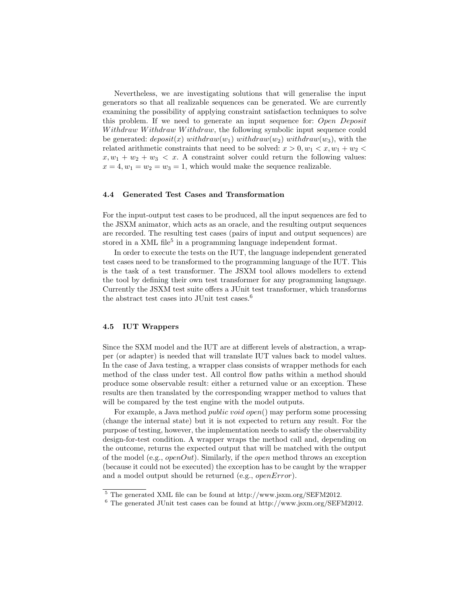Nevertheless, we are investigating solutions that will generalise the input generators so that all realizable sequences can be generated. We are currently examining the possibility of applying constraint satisfaction techniques to solve this problem. If we need to generate an input sequence for: Open Deposit Withdraw Withdraw Withdraw, the following symbolic input sequence could be generated:  $deposit(x)$  withdraw $(w_1)$  withdraw $(w_2)$  withdraw $(w_3)$ , with the related arithmetic constraints that need to be solved:  $x > 0, w_1 < x, w_1 + w_2 <$  $x, w_1 + w_2 + w_3 < x$ . A constraint solver could return the following values:  $x = 4, w_1 = w_2 = w_3 = 1$ , which would make the sequence realizable.

# 4.4 Generated Test Cases and Transformation

For the input-output test cases to be produced, all the input sequences are fed to the JSXM animator, which acts as an oracle, and the resulting output sequences are recorded. The resulting test cases (pairs of input and output sequences) are stored in a XML file<sup>5</sup> in a programming language independent format.

In order to execute the tests on the IUT, the language independent generated test cases need to be transformed to the programming language of the IUT. This is the task of a test transformer. The JSXM tool allows modellers to extend the tool by defining their own test transformer for any programming language. Currently the JSXM test suite offers a JUnit test transformer, which transforms the abstract test cases into JUnit test cases.<sup>6</sup>

## 4.5 IUT Wrappers

Since the SXM model and the IUT are at different levels of abstraction, a wrapper (or adapter) is needed that will translate IUT values back to model values. In the case of Java testing, a wrapper class consists of wrapper methods for each method of the class under test. All control flow paths within a method should produce some observable result: either a returned value or an exception. These results are then translated by the corresponding wrapper method to values that will be compared by the test engine with the model outputs.

For example, a Java method public void open() may perform some processing (change the internal state) but it is not expected to return any result. For the purpose of testing, however, the implementation needs to satisfy the observability design-for-test condition. A wrapper wraps the method call and, depending on the outcome, returns the expected output that will be matched with the output of the model (e.g.,  $openOut$ ). Similarly, if the *open* method throws an exception (because it could not be executed) the exception has to be caught by the wrapper and a model output should be returned (e.g., openError).

<sup>5</sup> The generated XML file can be found at http://www.jsxm.org/SEFM2012.

 $^6$  The generated JUnit test cases can be found at http://www.jsxm.org/SEFM2012.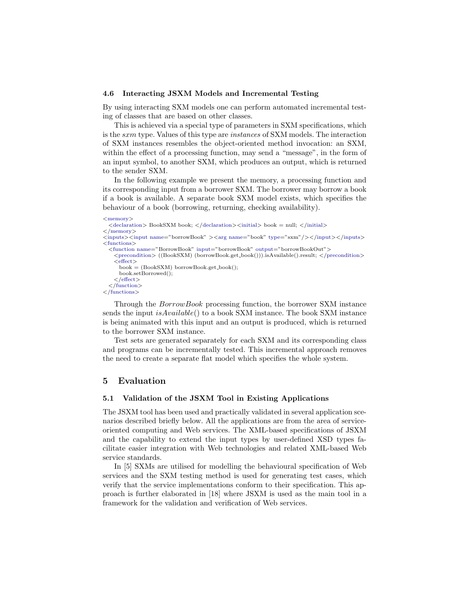### 4.6 Interacting JSXM Models and Incremental Testing

By using interacting SXM models one can perform automated incremental testing of classes that are based on other classes.

This is achieved via a special type of parameters in SXM specifications, which is the sxm type. Values of this type are instances of SXM models. The interaction of SXM instances resembles the object-oriented method invocation: an SXM, within the effect of a processing function, may send a "message", in the form of an input symbol, to another SXM, which produces an output, which is returned to the sender SXM.

In the following example we present the memory, a processing function and its corresponding input from a borrower SXM. The borrower may borrow a book if a book is available. A separate book SXM model exists, which specifies the behaviour of a book (borrowing, returning, checking availability).

```
<memory><declaration> BookSXM book; </declaration><initial> book = null; </initial>
\langle/memory\rangle\langleinputs>\langleinput name="borrowBook" \langle \rangle\langlearg name="book" type="sxm"/\rangle\langle/input\rangle\langle/inputs\rangle<functions>
  <function name="BorrowBook" input="borrowBook" output="borrowBookOut">
    <precondition> ((BookSXM) (borrowBook.get book())).isAvailable().result; </precondition>
    <effect>book = (BookSXM) borrowBook.get book();
      book.setBorrowed();
    </effect>
  </function>
</functions>
```
Through the BorrowBook processing function, the borrower SXM instance sends the input  $isAvailable()$  to a book SXM instance. The book SXM instance is being animated with this input and an output is produced, which is returned to the borrower SXM instance.

Test sets are generated separately for each SXM and its corresponding class and programs can be incrementally tested. This incremental approach removes the need to create a separate flat model which specifies the whole system.

# 5 Evaluation

### 5.1 Validation of the JSXM Tool in Existing Applications

The JSXM tool has been used and practically validated in several application scenarios described briefly below. All the applications are from the area of serviceoriented computing and Web services. The XML-based specifications of JSXM and the capability to extend the input types by user-defined XSD types facilitate easier integration with Web technologies and related XML-based Web service standards.

In [5] SXMs are utilised for modelling the behavioural specification of Web services and the SXM testing method is used for generating test cases, which verify that the service implementations conform to their specification. This approach is further elaborated in [18] where JSXM is used as the main tool in a framework for the validation and verification of Web services.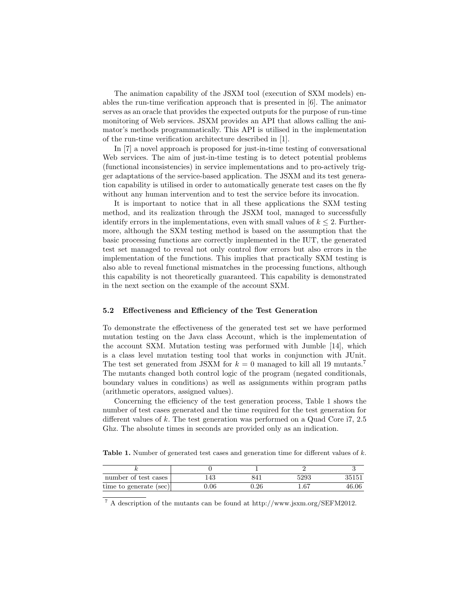The animation capability of the JSXM tool (execution of SXM models) enables the run-time verification approach that is presented in [6]. The animator serves as an oracle that provides the expected outputs for the purpose of run-time monitoring of Web services. JSXM provides an API that allows calling the animator's methods programmatically. This API is utilised in the implementation of the run-time verification architecture described in [1].

In [7] a novel approach is proposed for just-in-time testing of conversational Web services. The aim of just-in-time testing is to detect potential problems (functional inconsistencies) in service implementations and to pro-actively trigger adaptations of the service-based application. The JSXM and its test generation capability is utilised in order to automatically generate test cases on the fly without any human intervention and to test the service before its invocation.

It is important to notice that in all these applications the SXM testing method, and its realization through the JSXM tool, managed to successfully identify errors in the implementations, even with small values of  $k \leq 2$ . Furthermore, although the SXM testing method is based on the assumption that the basic processing functions are correctly implemented in the IUT, the generated test set managed to reveal not only control flow errors but also errors in the implementation of the functions. This implies that practically SXM testing is also able to reveal functional mismatches in the processing functions, although this capability is not theoretically guaranteed. This capability is demonstrated in the next section on the example of the account SXM.

### 5.2 Effectiveness and Efficiency of the Test Generation

To demonstrate the effectiveness of the generated test set we have performed mutation testing on the Java class Account, which is the implementation of the account SXM. Mutation testing was performed with Jumble [14], which is a class level mutation testing tool that works in conjunction with JUnit. The test set generated from JSXM for  $k = 0$  managed to kill all 19 mutants.<sup>7</sup> The mutants changed both control logic of the program (negated conditionals, boundary values in conditions) as well as assignments within program paths (arithmetic operators, assigned values).

Concerning the efficiency of the test generation process, Table 1 shows the number of test cases generated and the time required for the test generation for different values of k. The test generation was performed on a Quad Core i7, 2.5 Ghz. The absolute times in seconds are provided only as an indication.

**Table 1.** Number of generated test cases and generation time for different values of  $k$ .

| number of test cases    |      | -84.     | 5293 |  |
|-------------------------|------|----------|------|--|
| time to generate (sec)! | 1.06 | ${).}26$ | 1.67 |  |

<sup>7</sup> A description of the mutants can be found at http://www.jsxm.org/SEFM2012.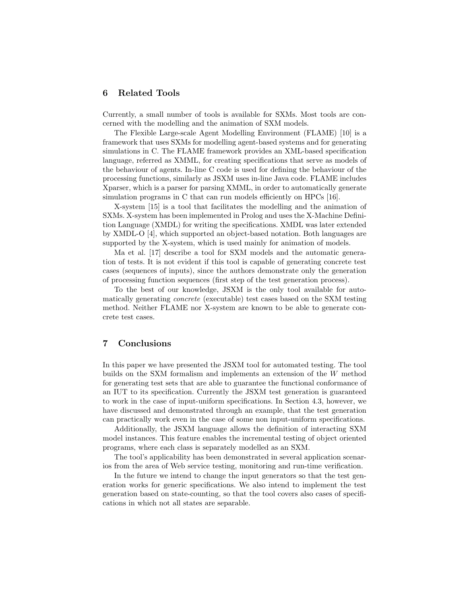# 6 Related Tools

Currently, a small number of tools is available for SXMs. Most tools are concerned with the modelling and the animation of SXM models.

The Flexible Large-scale Agent Modelling Environment (FLAME) [10] is a framework that uses SXMs for modelling agent-based systems and for generating simulations in C. The FLAME framework provides an XML-based specification language, referred as XMML, for creating specifications that serve as models of the behaviour of agents. In-line C code is used for defining the behaviour of the processing functions, similarly as JSXM uses in-line Java code. FLAME includes Xparser, which is a parser for parsing XMML, in order to automatically generate simulation programs in C that can run models efficiently on HPCs [16].

X-system [15] is a tool that facilitates the modelling and the animation of SXMs. X-system has been implemented in Prolog and uses the X-Machine Definition Language (XMDL) for writing the specifications. XMDL was later extended by XMDL-O [4], which supported an object-based notation. Both languages are supported by the X-system, which is used mainly for animation of models.

Ma et al. [17] describe a tool for SXM models and the automatic generation of tests. It is not evident if this tool is capable of generating concrete test cases (sequences of inputs), since the authors demonstrate only the generation of processing function sequences (first step of the test generation process).

To the best of our knowledge, JSXM is the only tool available for automatically generating concrete (executable) test cases based on the SXM testing method. Neither FLAME nor X-system are known to be able to generate concrete test cases.

# 7 Conclusions

In this paper we have presented the JSXM tool for automated testing. The tool builds on the SXM formalism and implements an extension of the W method for generating test sets that are able to guarantee the functional conformance of an IUT to its specification. Currently the JSXM test generation is guaranteed to work in the case of input-uniform specifications. In Section 4.3, however, we have discussed and demonstrated through an example, that the test generation can practically work even in the case of some non input-uniform specifications.

Additionally, the JSXM language allows the definition of interacting SXM model instances. This feature enables the incremental testing of object oriented programs, where each class is separately modelled as an SXM.

The tool's applicability has been demonstrated in several application scenarios from the area of Web service testing, monitoring and run-time verification.

In the future we intend to change the input generators so that the test generation works for generic specifications. We also intend to implement the test generation based on state-counting, so that the tool covers also cases of specifications in which not all states are separable.